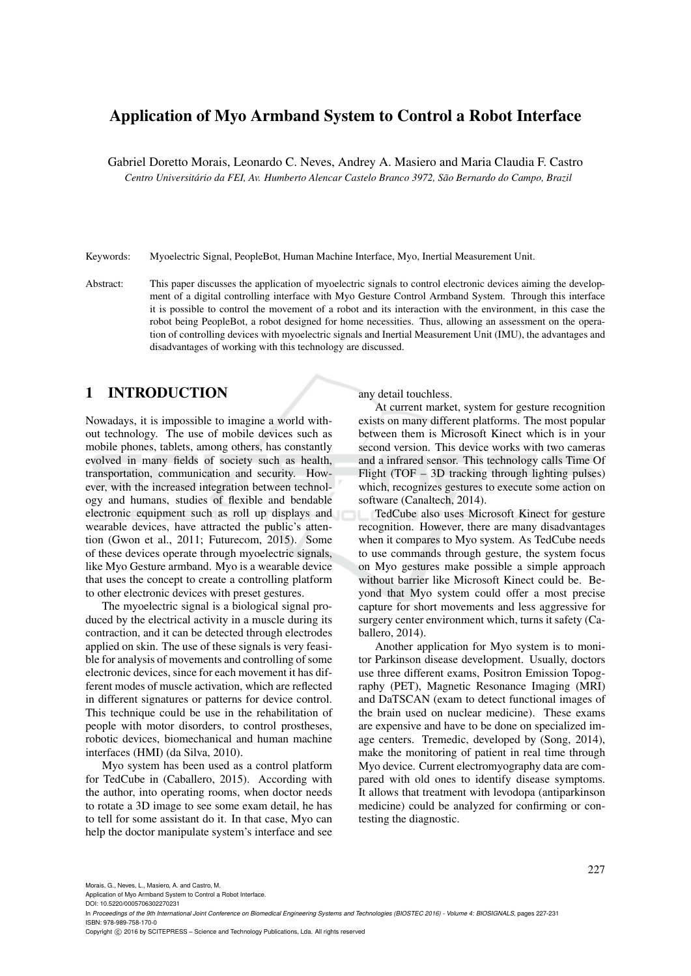# Application of Myo Armband System to Control a Robot Interface

Gabriel Doretto Morais, Leonardo C. Neves, Andrey A. Masiero and Maria Claudia F. Castro *Centro Universitario da FEI, Av. Humberto Alencar Castelo Branco 3972, S ´ ao Bernardo do Campo, Brazil ˜*

Keywords: Myoelectric Signal, PeopleBot, Human Machine Interface, Myo, Inertial Measurement Unit.

Abstract: This paper discusses the application of myoelectric signals to control electronic devices aiming the development of a digital controlling interface with Myo Gesture Control Armband System. Through this interface it is possible to control the movement of a robot and its interaction with the environment, in this case the robot being PeopleBot, a robot designed for home necessities. Thus, allowing an assessment on the operation of controlling devices with myoelectric signals and Inertial Measurement Unit (IMU), the advantages and disadvantages of working with this technology are discussed.

## 1 INTRODUCTION

Nowadays, it is impossible to imagine a world without technology. The use of mobile devices such as mobile phones, tablets, among others, has constantly evolved in many fields of society such as health, transportation, communication and security. However, with the increased integration between technology and humans, studies of flexible and bendable electronic equipment such as roll up displays and wearable devices, have attracted the public's attention (Gwon et al., 2011; Futurecom, 2015). Some of these devices operate through myoelectric signals, like Myo Gesture armband. Myo is a wearable device that uses the concept to create a controlling platform to other electronic devices with preset gestures.

The myoelectric signal is a biological signal produced by the electrical activity in a muscle during its contraction, and it can be detected through electrodes applied on skin. The use of these signals is very feasible for analysis of movements and controlling of some electronic devices, since for each movement it has different modes of muscle activation, which are reflected in different signatures or patterns for device control. This technique could be use in the rehabilitation of people with motor disorders, to control prostheses, robotic devices, biomechanical and human machine interfaces (HMI) (da Silva, 2010).

Myo system has been used as a control platform for TedCube in (Caballero, 2015). According with the author, into operating rooms, when doctor needs to rotate a 3D image to see some exam detail, he has to tell for some assistant do it. In that case, Myo can help the doctor manipulate system's interface and see

any detail touchless.

At current market, system for gesture recognition exists on many different platforms. The most popular between them is Microsoft Kinect which is in your second version. This device works with two cameras and a infrared sensor. This technology calls Time Of Flight (TOF – 3D tracking through lighting pulses) which, recognizes gestures to execute some action on software (Canaltech, 2014).

TedCube also uses Microsoft Kinect for gesture recognition. However, there are many disadvantages when it compares to Myo system. As TedCube needs to use commands through gesture, the system focus on Myo gestures make possible a simple approach without barrier like Microsoft Kinect could be. Beyond that Myo system could offer a most precise capture for short movements and less aggressive for surgery center environment which, turns it safety (Caballero, 2014).

Another application for Myo system is to monitor Parkinson disease development. Usually, doctors use three different exams, Positron Emission Topography (PET), Magnetic Resonance Imaging (MRI) and DaTSCAN (exam to detect functional images of the brain used on nuclear medicine). These exams are expensive and have to be done on specialized image centers. Tremedic, developed by (Song, 2014), make the monitoring of patient in real time through Myo device. Current electromyography data are compared with old ones to identify disease symptoms. It allows that treatment with levodopa (antiparkinson medicine) could be analyzed for confirming or contesting the diagnostic.

Morais, G., Neves, L., Masiero, A. and Castro, M.

Application of Myo Armband System to Control a Robot Interface.

DOI: 10.5220/0005706302270231

In *Proceedings of the 9th International Joint Conference on Biomedical Engineering Systems and Technologies (BIOSTEC 2016) - Volume 4: BIOSIGNALS*, pages 227-231 ISBN: 978-989-758-170-0

Copyright © 2016 by SCITEPRESS - Science and Technology Publications, Lda. All rights reserved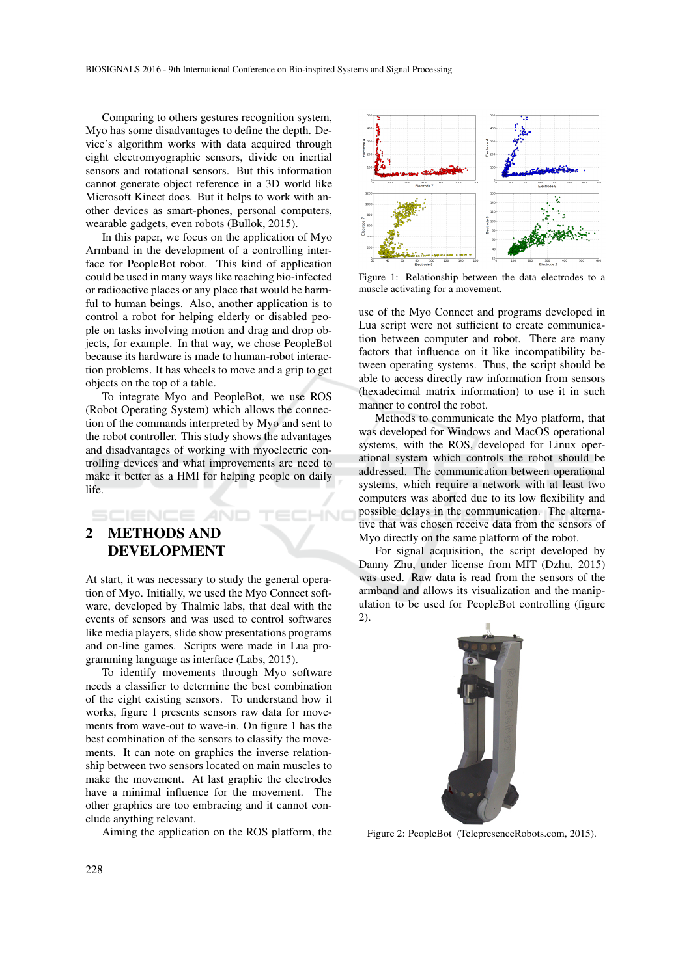Comparing to others gestures recognition system, Myo has some disadvantages to define the depth. Device's algorithm works with data acquired through eight electromyographic sensors, divide on inertial sensors and rotational sensors. But this information cannot generate object reference in a 3D world like Microsoft Kinect does. But it helps to work with another devices as smart-phones, personal computers, wearable gadgets, even robots (Bullok, 2015).

In this paper, we focus on the application of Myo Armband in the development of a controlling interface for PeopleBot robot. This kind of application could be used in many ways like reaching bio-infected or radioactive places or any place that would be harmful to human beings. Also, another application is to control a robot for helping elderly or disabled people on tasks involving motion and drag and drop objects, for example. In that way, we chose PeopleBot because its hardware is made to human-robot interaction problems. It has wheels to move and a grip to get objects on the top of a table.

To integrate Myo and PeopleBot, we use ROS (Robot Operating System) which allows the connection of the commands interpreted by Myo and sent to the robot controller. This study shows the advantages and disadvantages of working with myoelectric controlling devices and what improvements are need to make it better as a HMI for helping people on daily life.

# 2 METHODS AND DEVELOPMENT

SCIENCE *A*ND

At start, it was necessary to study the general operation of Myo. Initially, we used the Myo Connect software, developed by Thalmic labs, that deal with the events of sensors and was used to control softwares like media players, slide show presentations programs and on-line games. Scripts were made in Lua programming language as interface (Labs, 2015).

To identify movements through Myo software needs a classifier to determine the best combination of the eight existing sensors. To understand how it works, figure 1 presents sensors raw data for movements from wave-out to wave-in. On figure 1 has the best combination of the sensors to classify the movements. It can note on graphics the inverse relationship between two sensors located on main muscles to make the movement. At last graphic the electrodes have a minimal influence for the movement. The other graphics are too embracing and it cannot conclude anything relevant.

Aiming the application on the ROS platform, the



Figure 1: Relationship between the data electrodes to a muscle activating for a movement.

use of the Myo Connect and programs developed in Lua script were not sufficient to create communication between computer and robot. There are many factors that influence on it like incompatibility between operating systems. Thus, the script should be able to access directly raw information from sensors (hexadecimal matrix information) to use it in such manner to control the robot.

Methods to communicate the Myo platform, that was developed for Windows and MacOS operational systems, with the ROS, developed for Linux operational system which controls the robot should be addressed. The communication between operational systems, which require a network with at least two computers was aborted due to its low flexibility and possible delays in the communication. The alternative that was chosen receive data from the sensors of Myo directly on the same platform of the robot.

For signal acquisition, the script developed by Danny Zhu, under license from MIT (Dzhu, 2015) was used. Raw data is read from the sensors of the armband and allows its visualization and the manipulation to be used for PeopleBot controlling (figure 2).



Figure 2: PeopleBot (TelepresenceRobots.com, 2015).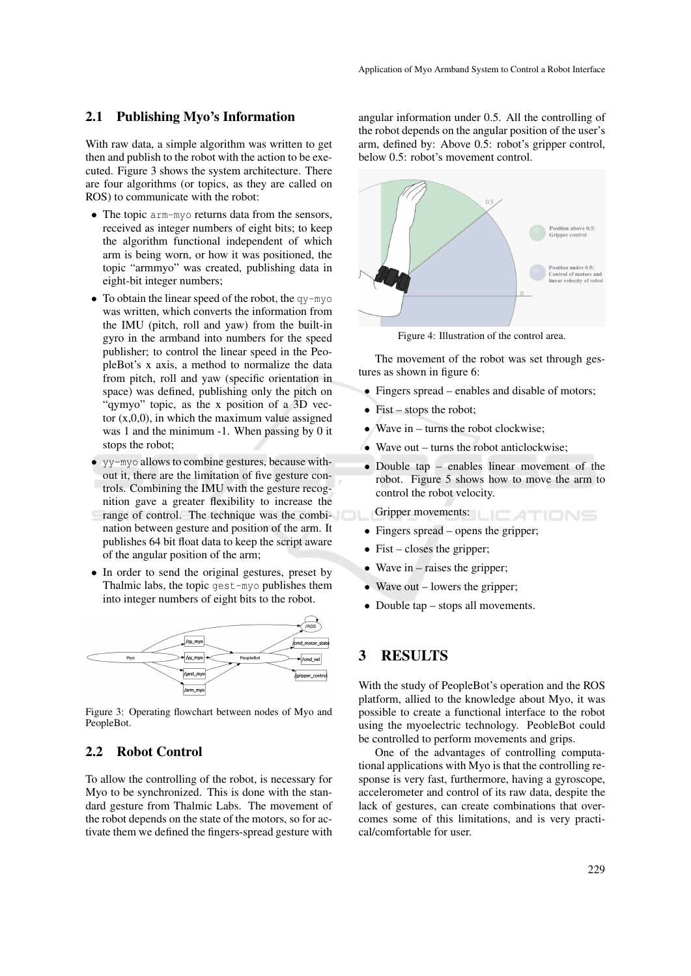#### 2.1 Publishing Myo's Information

With raw data, a simple algorithm was written to get then and publish to the robot with the action to be executed. Figure 3 shows the system architecture. There are four algorithms (or topics, as they are called on ROS) to communicate with the robot:

- The topic arm-myo returns data from the sensors, received as integer numbers of eight bits; to keep the algorithm functional independent of which arm is being worn, or how it was positioned, the topic "armmyo" was created, publishing data in eight-bit integer numbers;
- To obtain the linear speed of the robot, the  $q_y$ -myo was written, which converts the information from the IMU (pitch, roll and yaw) from the built-in gyro in the armband into numbers for the speed publisher; to control the linear speed in the PeopleBot's x axis, a method to normalize the data from pitch, roll and yaw (specific orientation in space) was defined, publishing only the pitch on "qymyo" topic, as the x position of a 3D vector  $(x,0,0)$ , in which the maximum value assigned was 1 and the minimum -1. When passing by 0 it stops the robot;
- yv-myo allows to combine gestures, because without it, there are the limitation of five gesture controls. Combining the IMU with the gesture recognition gave a greater flexibility to increase the range of control. The technique was the combination between gesture and position of the arm. It publishes 64 bit float data to keep the script aware of the angular position of the arm;
- In order to send the original gestures, preset by Thalmic labs, the topic gest-myo publishes them into integer numbers of eight bits to the robot.



Figure 3: Operating flowchart between nodes of Myo and PeopleBot.

#### 2.2 Robot Control

To allow the controlling of the robot, is necessary for Myo to be synchronized. This is done with the standard gesture from Thalmic Labs. The movement of the robot depends on the state of the motors, so for activate them we defined the fingers-spread gesture with

angular information under 0.5. All the controlling of the robot depends on the angular position of the user's arm, defined by: Above 0.5: robot's gripper control, below 0.5: robot's movement control.



Figure 4: Illustration of the control area.

The movement of the robot was set through gestures as shown in figure 6:

- Fingers spread enables and disable of motors:
- Fist stops the robot;
- Wave in turns the robot clockwise;
- Wave out turns the robot anticlockwise;
- Double tap enables linear movement of the robot. Figure 5 shows how to move the arm to control the robot velocity.

Gripper movements: ATIONS

- Fingers spread opens the gripper;
- Fist closes the gripper;
- Wave in raises the gripper;
- Wave out lowers the gripper;
- Double tap stops all movements.

# 3 RESULTS

With the study of PeopleBot's operation and the ROS platform, allied to the knowledge about Myo, it was possible to create a functional interface to the robot using the myoelectric technology. PeobleBot could be controlled to perform movements and grips.

One of the advantages of controlling computational applications with Myo is that the controlling response is very fast, furthermore, having a gyroscope, accelerometer and control of its raw data, despite the lack of gestures, can create combinations that overcomes some of this limitations, and is very practical/comfortable for user.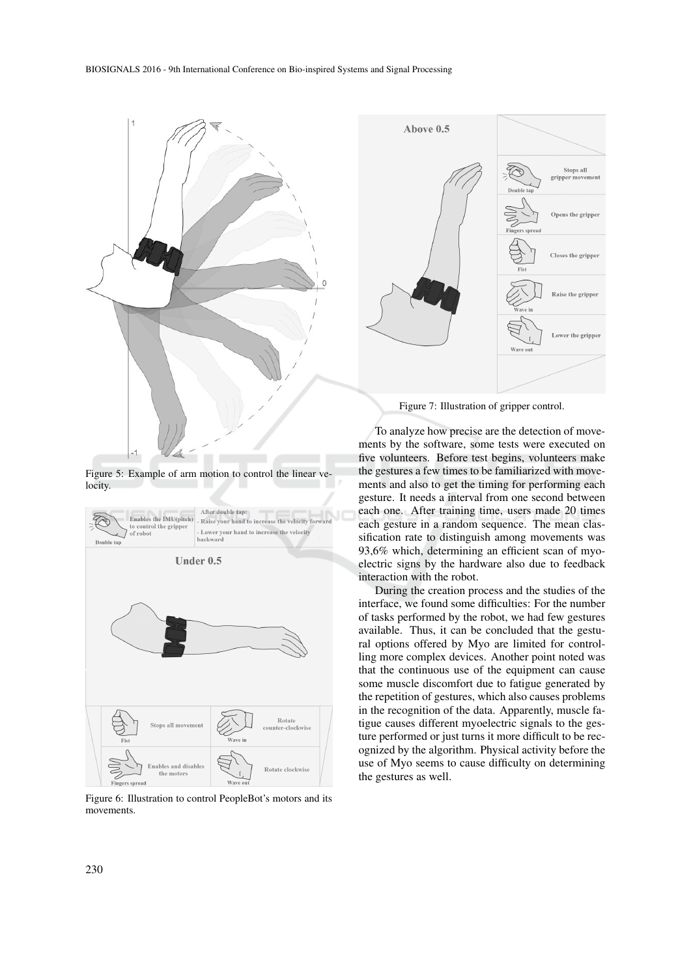

Figure 5: Example of arm motion to control the linear velocity.



Figure 6: Illustration to control PeopleBot's motors and its movements.



Figure 7: Illustration of gripper control.

To analyze how precise are the detection of movements by the software, some tests were executed on five volunteers. Before test begins, volunteers make the gestures a few times to be familiarized with movements and also to get the timing for performing each gesture. It needs a interval from one second between each one. After training time, users made 20 times each gesture in a random sequence. The mean classification rate to distinguish among movements was 93,6% which, determining an efficient scan of myoelectric signs by the hardware also due to feedback interaction with the robot.

During the creation process and the studies of the interface, we found some difficulties: For the number of tasks performed by the robot, we had few gestures available. Thus, it can be concluded that the gestural options offered by Myo are limited for controlling more complex devices. Another point noted was that the continuous use of the equipment can cause some muscle discomfort due to fatigue generated by the repetition of gestures, which also causes problems in the recognition of the data. Apparently, muscle fatigue causes different myoelectric signals to the gesture performed or just turns it more difficult to be recognized by the algorithm. Physical activity before the use of Myo seems to cause difficulty on determining the gestures as well.